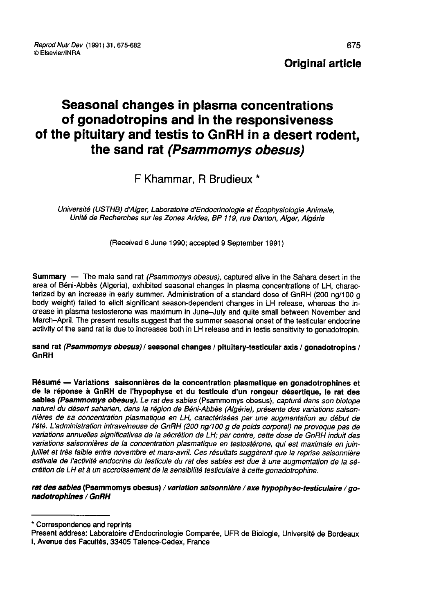# Seasonal changes in plasma concentrations of gonadotropins and in the responsiveness of the pituitary and testis to GnRH in a desert rodent, the sand rat (Psammomys obesus)

## F Khammar, R Brudieux \*

Université (USTHB) d'Alger, Laboratoire d'Endocrinologie et Écophysiologie Animale. Unité de Recherches sur les Zones Arides, BP 119, rue Danton, Alger, Algérie

(Received 6 June 1990; accepted 9 September 1991)

Summary — The male sand rat (Psammomys obesus), captured alive in the Sahara desert in the area of Béni-Abbès (Algeria), exhibited seasonal changes in plasma concentrations of LH, characterized by an increase in early summer. Administration of a standard dose of GnRH (200 ng/100 g body weight) failed to elicit significant season-dependent changes in LH release, whereas the increase in plasma testosterone was maximum in June-July and quite small between November and March-April. The present results suggest that the summer seasonal onset of the testicular endocrine activity of the sand rat is due to increases both in LH release and in testis sensitivity to gonadotropin.

## sand rat (Psammomys obesus) / seasonal changes / pituitary-testicular axis / gonadotropins / GnRH

Résumé ― Variations saisonnières de la concentration plasmatique en gonadotrophines et de la réponse à GnRH de l'hypophyse et du testicule d'un rongeur désertique, le rat des<br>sables (Psammomys obesus). Le rat des sables (Psammomys obesus), capturé dans son biotope naturel du désert saharien, dans la région de Béni-Abbès (Algérie), présente des variations saisonnières de sa concentration plasmatique en LH, caractérisées par une augmentation au début de l'été. L'administration intraveineuse de GnRH (200 ng/100 g de poids corporel) ne provoque pas de variations annuelles significatives de la sécrétion de LH; par contre, cette dose de GnRH induit des juillet et très faible entre novembre et mars-avril. Ces résultats suggèrent que la reprise saisonnière estivale de l'activité endocrine du testicule du rat des sables est due à une augmentation de la sécrétion de LH et à un accroissement de la sensibilité testiculaire à cette gonadotrophine.

## rat des sables (Psammomys obesus) / variation saisonnière / axe hypophyso-testiculaire / gonadotrophlnes / GnRH

\* Correspondence and reprints

Present address: Laboratoire d'Endocrinologie Compar6e, UFR de Biologie, Université de Bordeaux

I, Avenue des Facultés, 33405 Talence-Cedex, France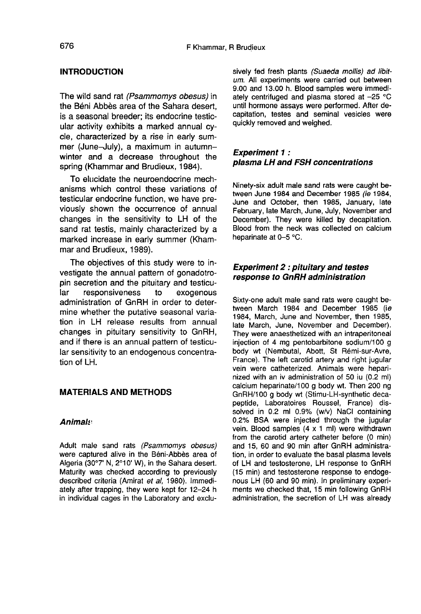## INTRODUCTION

The wild sand rat (Psammomys obesus) in the Béni Abbès area of the Sahara desert, is a seasonal breeder; its endocrine testicular activity exhibits a marked annual cycle, characterized by a rise in early sum-<br>mer (June-July), a maximum in autumn-The wild sand rat *(Psammomys obesus)* in<br>the Béni Abbès area of the Sahara desert,<br>is a seasonal breeder; its endocrine testic-<br>ular activity exhibits a marked annual cy-<br>cle, characterized by a rise in early sum-<br>mer (Ju winter and a decrease throughout the spring (Khammar and Brudieux, 1984).

To elucidate the neuroendocrine mechanisms which control these variations of testicular endocrine function, we have previously shown the occurrence of annual changes in the sensitivity to LH of the sand rat testis, mainly characterized by a marked increase in early summer (Kham mar and Brudieux, 1989).

The objectives of this study were to investigate the annual pattern of gonadotropin secretion and the pituitary and testicuresponsiveness administration of GnRH in order to determine whether the putative seasonal variation in LH release results from annual changes in pituitary sensitivity to GnRH, and if there is an annual pattern of testicular sensitivity to an endogenous concentration of LH.

## MATERIALS AND METHODS

#### Animal: !

Adult male sand rats (Psammomys obesus) were captured alive in the Béni-Abbès area of Algeria (30°T N, 2°10' W), in the Sahara desert. Maturity was checked according to previously described criteria (Amirat et al, 1980). Immediately after trapping, they were kept for 12-24 h in individual cages in the Laboratory and exclusively fed fresh plants (Suaeda mollis) ad libitum. All experiments were carried out between 9.00 and 13.00 h. Blood samples were immediately centrifuged and plasma stored at  $-25$  °C until hormone assays were performed. After decapitation, testes and seminal vesicles were quickly removed and weighed.

## Experiment 1 : plasma LH and FSH concentrations

Ninety-six adult male sand rats were caught between June 1984 and December 1985 (ie 1984, June and October, then 1985, January, late February, late March, June, July, November and December). They were killed by decapitation. Blood from the neck was collected on calcium heparinate at 0-5 °C.

## Experiment 2 : pituitary and testes response to GnRH administration

Sixty-one adult male sand rats were caught between March 1984 and December 1985 (ie 1984, March, June and November, then 1985, late March, June, November and December). They were anaesthetized with an intraperitoneal injection of 4 mg pentobarbitone sodium/100 g body wt (Nembutal, Abott, St Rémi-sur-Avre, France). The left carotid artery and right jugular vein were catheterized. Animals were heparinized with an iv administration of 50 iu (0.2 ml) calcium heparinate/100 g body wt. Then 200 ng GnRH/100 g body wt (Stimu-LH-synthetic decapeptide, Laboratoires Roussel, France) dissolved in 0.2 ml 0.9% (w/v) NaCl containing 0.2% BSA were injected through the jugular vein. Blood samples (4 x 1 ml) were withdrawn from the carotid artery catheter before (0 min) and 15, 60 and 90 min after GnRH administration, in order to evaluate the basal plasma levels of LH and testosterone, LH response to GnRH (15 min) and testosterone response to endoge nous LH (60 and 90 min). In preliminary experi- ments we checked that, 15 min following GnRH administration, the secretion of LH was already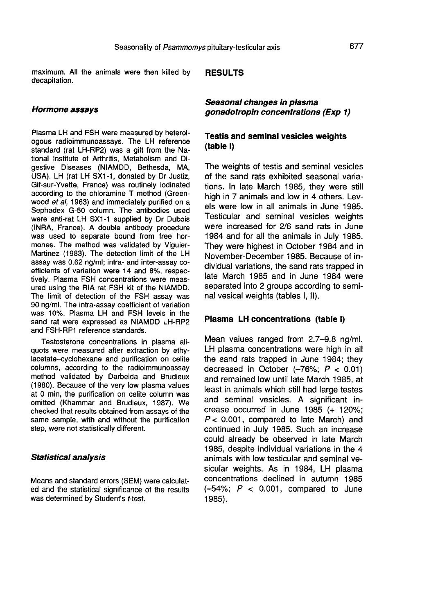maximum. All the animals were then killed by decapitation.

#### RESULTS

#### Hormone assays

Plasma LH and FSH were measured by heterologous radioimmunoassays. The LH reference standard (rat LH-RP2) was a gift from the National Institute of Arthritis, Metabolism and Digestive Diseases (NIAMDD, Bethesda, MA, USA). LH (rat LH SX1-1, donated by Dr Justiz, Gif-sur-Yvette, France) was routinely iodinated according to the chloramine T method (Greenwood et al, 1963) and immediately purified on a Sephadex G-50 column. The antibodies used were anti-rat LH SX1-1 supplied by Dr Dubois<br>(INRA, France). A double antibody procedure was used to separate bound from free hormones. The method was validated by Viguier-Martinez (1983). The detection limit of the LH assay was 0.62 ng/ml; intra- and inter-assay coefficients of variation were 14 and 8%, respectively. Plasma FSH concentrations were measured using the RIA rat FSH kit of the NIAMDD. The limit of detection of the FSH assay was 90 ng/ml. The intra-assay coefficient of variation<br>was 10%. Plasma LH and FSH levels in the<br>sand rat were expressed as NIAMDD LH-RP2<br>and FSH-RP1 reference standards. 90 ng/ml. The intra-assay coefficient of variation was 10%. Plasma LH and FSH levels in the sand rat were expressed as NIAMDD LH-RP2 and FSH-RP1 reference standards.

Testosterone concentrations in plasma aliquots were measured after extraction by ethylacetate-cyclohexane and purification on celite columns, according to the radioimmunoassay method validated by Darbeida and Brudieux (1980). Because of the very low plasma values at 0 min, the purification on celite column was omitted (Khammar and Brudieux, 1987). We checked that results obtained from assays of the same sample, with and without the purification step, were not statistically different.

## Statistical analysis

Means and standard errors (SEM) were calculated and the statistical significance of the results was determined by Student's t-test.

Seasonal changes in plasma gonadotropin concentrations (Exp 1)

## Testis and seminal vesicles weights (table I)

The weights of testis and seminal vesicles of the sand rats exhibited seasonal variations. In late March 1985, they were still high in 7 animals and low in 4 others. Levels were low in all animals in June 1985. Testicular and seminal vesicles weights were increased for 2/6 sand rats in June 1984 and for all the animals in July 1985. They were highest in October 1984 and in November-December 1985. Because of individual variations, the sand rats trapped in late March 1985 and in June 1984 were separated into 2 groups according to seminal vesical weights (tables I, II).

#### Plasma LH concentrations (table I)

Mean values ranged from 2.7-9.8 ng/ml. LH plasma concentrations were high in all the sand rats trapped in June 1984; they decreased in October  $(-76\%; P < 0.01)$ and remained low until late March 1985, at least in animals which still had large testes and seminal vesicles. A significant increase occurred in June 1985 (+ 120%;  $P < 0.001$ , compared to late March) and continued in July 1985. Such an increase could already be observed in late March 1985, despite individual variations in the 4 animals with low testicular and seminal vesicular weights. As in 1984, LH plasma concentrations declined in autumn 1985  $(-54\%; P < 0.001, \text{ compared to June})$ 1985).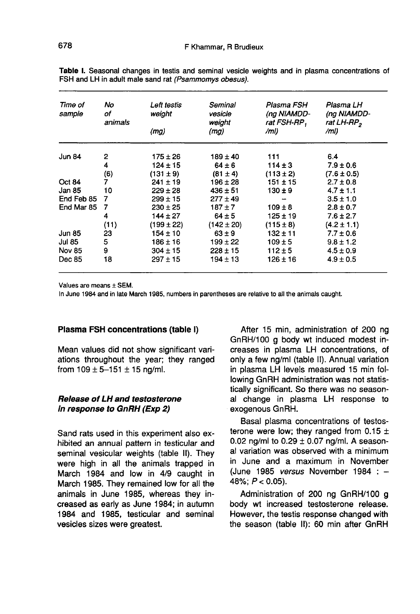| Time of<br>sample | No<br>of<br>animals | Left testis<br>weight | Seminal<br>vesicle<br>weight | Plasma FSH<br>(ng NIAMDD-<br>rat FSH-RP, | Plasma LH<br>(ng NIAMDD-<br>rat LH-RP <sub>2</sub> |
|-------------------|---------------------|-----------------------|------------------------------|------------------------------------------|----------------------------------------------------|
|                   |                     | (mg)                  | (mg)                         | /ml)                                     | /ml)                                               |
| <b>Jun 84</b>     | 2                   | $175 \pm 26$          | $189 \pm 40$                 | 111                                      | 6.4                                                |
|                   | 4                   | $124 \pm 15$          | $64 \pm 6$                   | $114 \pm 3$                              | $7.9 \pm 0.6$                                      |
|                   | (6)                 | $(131 \pm 9)$         | $(81 \pm 4)$                 | $(113 \pm 2)$                            | $(7.6 \pm 0.5)$                                    |
| <b>Oct 84</b>     | 7                   | $241 \pm 19$          | $196 \pm 28$                 | 151 ± 15                                 | $2.7 \pm 0.8$                                      |
| Jan 85            | 10                  | $229 \pm 28$          | $436 \pm 51$                 | $130 \pm 9$                              | $4.7 \pm 1.1$                                      |
| End Feb 85        | 7                   | $299 \pm 15$          | $277 \pm 49$                 |                                          | $3.5 \pm 1.0$                                      |
| End Mar 85        | 7                   | $230 \pm 25$          | $187 + 7$                    | $109 \pm 8$                              | $2.8 \pm 0.7$                                      |
|                   | 4                   | $144 \pm 27$          | $64 \pm 5$                   | $125 + 19$                               | $7.6 \pm 2.7$                                      |
|                   | (11)                | (199 ± 22)            | $(142 \pm 20)$               | $(115 \pm 8)$                            | $(4.2 \pm 1.1)$                                    |
| Jun 85            | 23                  | $154 \pm 10$          | $63 \pm 9$                   | $132 \pm 11$                             | $7.7 \pm 0.6$                                      |
| Jul 85            | 5                   | $186 \pm 16$          | $199 \pm 22$                 | $109 \pm 5$                              | $9.8 \pm 1.2$                                      |
| <b>Nov 85</b>     | 9                   | $304 \pm 15$          | $228 \pm 15$                 | $112 \pm 5$                              | $4.5 \pm 0.9$                                      |
| Dec 85            | 18                  | $297 + 15$            | $194 \pm 13$                 | 126 ± 16                                 | $4.9 \pm 0.5$                                      |

Table I. Seasonal changes in testis and seminal vesicle weights and in plasma concentrations of FSH and LH in adult male sand rat (Psammomys obesus).

Values are means ± SEM.

In June 1984 and in late March 1985, numbers in parentheses are relative to all the animals caught.

#### Plasma FSH concentrations (table I)

Mean values did not show significant variations throughout the year; they ranged from  $109 \pm 5 - 151 \pm 15$  ng/ml.

## Release of LH and testosterone in response to GnRH (Exp 2)

Sand rats used in this experiment also exhibited an annual pattern in testicular and seminal vesicular weights (table II). They were high in all the animals trapped in March 1984 and low in 4/9 caught in March 1985. They remained low for all the animals in June 1985, whereas they increased as early as June 1984; in autumn 1984 and 1985, testicular and seminal vesicles sizes were greatest.

After 15 min, administration of 200 ng GnRH/100 g body wt induced modest increases in plasma LH concentrations, of only a few ng/ml (table II). Annual variation in plasma LH levels measured 15 min following GnRH administration was not statistically significant. So there was no seasonal change in plasma LH response to exogenous GnRH.

Basal plasma concentrations of testosterone were low; they ranged from  $0.15 \pm$ 0.02 ng/ml to  $0.29 \pm 0.07$  ng/ml. A seasonal variation was observed with a minimum in June and a maximum in November (June 1985 versus November 1984 :  $48\%$ ;  $P < 0.05$ ).

Administration of 200 ng GnRH/100 g body wt increased testosterone release. However, the testis response changed with the season (table II): 60 min after GnRH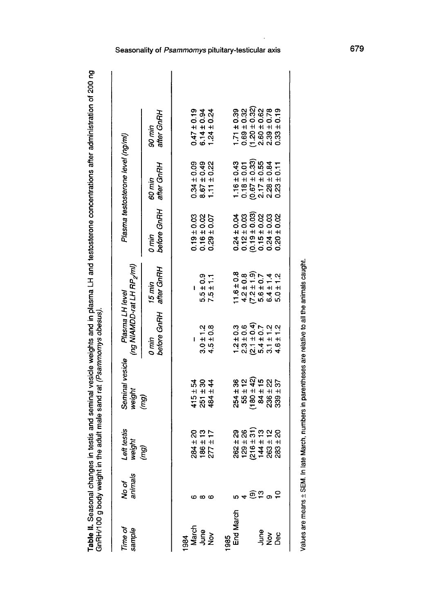Table II. Seasonal changes in testis and seminal vesicle weights and in plasma LH and testosterone concentrations after administration of 200 ng<br>GnRH/100 g body weight in the adult male sand rat (*Psammomys obesus).* 

| Time of<br>sample                         | No of<br>animals    | Left testis<br>weight<br>(mg)                                                                  |                                                                              | (ng NIAMDD-rat LH RP <sub>2</sub> /ml)<br>Plasma LH level |                                                                                                                          |                                                                                                                                                    | Plasma testosterone level (ng/ml)                                        |                                                                            |
|-------------------------------------------|---------------------|------------------------------------------------------------------------------------------------|------------------------------------------------------------------------------|-----------------------------------------------------------|--------------------------------------------------------------------------------------------------------------------------|----------------------------------------------------------------------------------------------------------------------------------------------------|--------------------------------------------------------------------------|----------------------------------------------------------------------------|
|                                           |                     |                                                                                                |                                                                              | before GnRH after GnRH<br>0 min                           | $15 \text{ min}$                                                                                                         | before GnRH<br>0 min                                                                                                                               | after GnRH<br>60 min                                                     | after GnRH<br>anin 06                                                      |
| 884                                       |                     |                                                                                                |                                                                              |                                                           |                                                                                                                          |                                                                                                                                                    |                                                                          |                                                                            |
| March                                     |                     |                                                                                                |                                                                              | L                                                         |                                                                                                                          |                                                                                                                                                    |                                                                          |                                                                            |
|                                           | ൕ                   | $284 \pm 20$<br>186 ± 13<br>277 ± 17                                                           |                                                                              |                                                           |                                                                                                                          |                                                                                                                                                    |                                                                          |                                                                            |
| ne<br>Po<br>Nov                           | $\bullet$           |                                                                                                | $415 + 54$<br>$251 + 30$<br>$484 + 44$                                       | $3.0 \pm 1.2$<br>$4.5 \pm 0.8$                            | $7.5 \pm 0.9$<br>7.5 ± 1.1                                                                                               | $0.19 \pm 0.03$<br>0.16 ± 0.02<br>0.29 ± 0.07                                                                                                      | $0.34 \pm 0.09$<br>$8.67 \pm 0.49$<br>$1.11 \pm 0.22$                    | $0.47 \pm 0.19$<br>6.14 $\pm$ 0.94<br>1.24 $\pm$ 0.24                      |
| 985                                       |                     |                                                                                                |                                                                              |                                                           |                                                                                                                          |                                                                                                                                                    |                                                                          |                                                                            |
| End March                                 |                     |                                                                                                |                                                                              |                                                           |                                                                                                                          |                                                                                                                                                    |                                                                          |                                                                            |
|                                           |                     |                                                                                                |                                                                              |                                                           |                                                                                                                          |                                                                                                                                                    |                                                                          | $1.71 \pm 0.39$<br>0.69 ± 0.32                                             |
|                                           | $+$ $@$ $2$ $@$ $2$ | $262 \pm 29$<br>$129 \pm 26$<br>$(216 \pm 31)$<br>$144 \pm 12$<br>$263 \pm 20$<br>$283 \pm 20$ | $254 \pm 36$<br>$55 \pm 12$<br>$(180 \pm 42)$<br>$84 \pm 15$<br>$236 \pm 22$ |                                                           | $\begin{array}{l} 11.6 \pm 0.8 \\ 4.2 \pm 0.8 \\ (7.2 \pm 1.9) \\ 6.6 \pm 1.4 \\ 6.4 \pm 1.2 \\ 6.4 \pm 1.2 \end{array}$ | $\begin{array}{c} 0.24 \pm 0.04 \\ 0.12 \pm 0.03 \\ 0.19 \pm 0.03 \\ 0.19 \pm 0.02 \\ 0.24 \pm 0.03 \\ 0.24 \pm 0.03 \\ 0.20 \pm 0.02 \end{array}$ | 1.16 ± 0.43<br>0.18 ± 0.01<br>0.67 ± 0.33)<br>2.17 ± 0.55<br>2.28 ± 0.84 |                                                                            |
|                                           |                     |                                                                                                |                                                                              |                                                           |                                                                                                                          |                                                                                                                                                    |                                                                          |                                                                            |
| $\frac{2}{3}$ $\frac{2}{2}$ $\frac{8}{1}$ |                     |                                                                                                |                                                                              |                                                           |                                                                                                                          |                                                                                                                                                    |                                                                          | $(1.20 \pm 0.32)$<br>$2.60 \pm 0.62$<br>$2.39 \pm 0.78$<br>$0.33 \pm 0.19$ |
|                                           |                     |                                                                                                | $339 \pm 37$                                                                 |                                                           |                                                                                                                          |                                                                                                                                                    | $0.23 \pm 0.11$                                                          |                                                                            |
|                                           |                     |                                                                                                |                                                                              |                                                           |                                                                                                                          |                                                                                                                                                    |                                                                          |                                                                            |

Values are means ± SEM. In late March, numbers in parentheses are relative to all the animals caught.

## Seasonality of Psammomys pituitary-testicular axis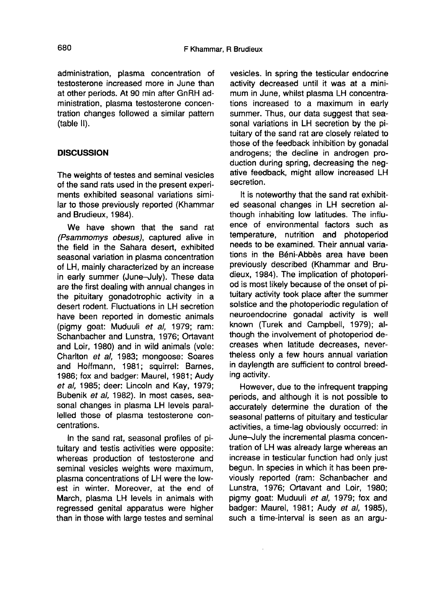administration, plasma concentration of testosterone increased more in June than at other periods. At 90 min after GnRH administration, plasma testosterone concentration changes followed a similar pattern (table II).

## **DISCUSSION**

The weights of testes and seminal vesicles of the sand rats used in the present experiments exhibited seasonal variations similar to those previously reported (Khammar and Brudieux, 1984).

We have shown that the sand rat (Psammomys obesus), captured alive in the field in the Sahara desert, exhibited seasonal variation in plasma concentration of LH, mainly characterized by an increase in early summer (June-July). These data are the first dealing with annual changes in the pituitary gonadotrophic activity in a desert rodent. Fluctuations in LH secretion have been reported in domestic animals (pigmy goat: Muduuli et al, 1979; ram: Schanbacher and Lunstra, 1976; Ortavant and Loir, 1980) and in wild animals (vole: Charlton et al, 1983; mongoose: Soares and Hoffmann, 1981; squirrel: Barnes, 1986; fox and badger: Maurel, 1981; Audy et al, 1985; deer: Lincoln and Kay, 1979; Bubenik et al, 1982). In most cases, seasonal changes in plasma LH levels parallelled those of plasma testosterone concentrations.

In the sand rat, seasonal profiles of pituitary and testis activities were opposite: whereas production of testosterone and seminal vesicles weights were maximum, plasma concentrations of LH were the lowest in winter. Moreover, at the end of March, plasma LH levels in animals with regressed genital apparatus were higher than in those with large testes and seminal

vesicles. In spring the testicular endocrine activity decreased until it was at a minimum in June, whilst plasma LH concentrations increased to a maximum in early summer. Thus, our data suggest that seasonal variations in LH secretion by the pituitary of the sand rat are closely related to those of the feedback inhibition by gonadal androgens; the decline in androgen production during spring, decreasing the negative feedback, might allow increased LH secretion.

It is noteworthy that the sand rat exhibited seasonal changes in LH secretion although inhabiting low latitudes. The influence of environmental factors such as temperature, nutrition and photoperiod needs to be examined. Their annual variations in the Béni-Abbès area have been previously described (Khammar and Brudieux, 1984). The implication of photoperiod is most likely because of the onset of pituitary activity took place after the summer solstice and the photoperiodic regulation of neuroendocrine gonadal activity is well known (Turek and Campbell, 1979); although the involvement of photoperiod decreases when latitude decreases, nevertheless only a few hours annual variation in daylength are sufficient to control breeding activity.

However, due to the infrequent trapping periods, and although it is not possible to accurately determine the duration of the seasonal patterns of pituitary and testicular activities, a time-lag obviously occurred: in June-July the incremental plasma concentration of LH was already large whereas an increase in testicular function had only just begun. In species in which it has been previously reported (ram: Schanbacher and Lunstra, 1976; Ortavant and Loir, 1980; pigmy goat: Muduuli et al, 1979; fox and badger: Maurel, 1981; Audy et al, 1985), such a time-interval is seen as an argu-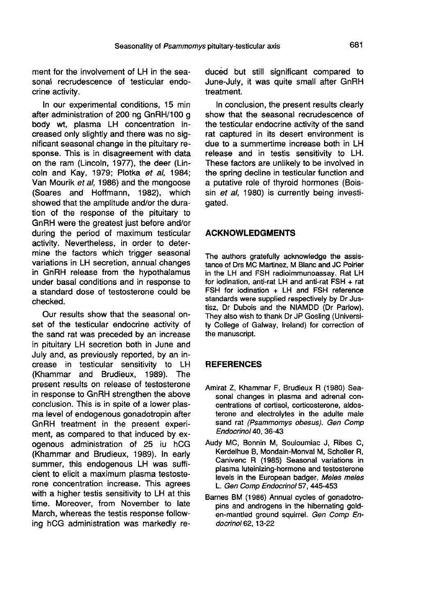ment for the involvement of LH in the seasonal recrudescence of testicular endocrine activity.

In our experimental conditions, 15 min after administration of 200 ng GnRH/100 g body wt, plasma LH concentration increased only slightly and there was no significant seasonal change in the pituitary response. This is in disagreement with data on the ram (Lincoln, 1977), the deer (Lincoln and Kay, 1979; Plotka et al, 1984; Van Mourik et al, 1986) and the mongoose (Soares and Hoffmann, 1982), which showed that the amplitude and/or the duration of the response of the pituitary to GnRH were the greatest just before and/or during the period of maximum testicular activity. Nevertheless, in order to determine the factors which trigger seasonal variations in LH secretion, annual changes in GnRH release from the hypothalamus under basal conditions and in response to a standard dose of testosterone could be checked.

Our results show that the seasonal onset of the testicular endocrine activity of the sand rat was preceded by an increase in pituitary LH secretion both in June and July and, as previously reported, by an increase in testicular sensitivity to LH (Khammar and Brudieux, 1989). The present results on release of testosterone in response to GnRH strengthen the above<br>conclusion. This is in spite of a lower plasma level of endogenous gonadotropin after GnRH treatment in the present experiment, as compared to that induced by exogenous administration of 25 iu hCG (Khammar and Brudieux, 1989). In early summer, this endogenous LH was sufficient to elicit a maximum plasma testosterone concentration increase. This agrees with a higher testis sensitivity to LH at this time. Moreover, from November to late March, whereas the testis response following hCG administration was markedly reduced but still significant compared to June-July, it was quite small after GnRH treatment.

In conclusion, the present results clearly show that the seasonal recrudescence of the testicular endocrine activity of the sand rat captured in its desert environment is due to a summertime increase both in LH release and in testis sensitivity to LH. These factors are unlikely to be involved in the spring decline in testicular function and a putative role of thyroid hormones (Boissin et al, 1980) is currently being investigated.

## ACKNOWLEDGMENTS

The authors gratefully acknowledge the assistance of Drs MC Martinez, M Blanc and JC Poirier in the LH and FSH radioimmunoassay. Rat LH for iodination, anti-rat LH and anti-rat FSH + rat FSH for iodination + LH and FSH reference standards were supplied respectively by Dr Justisz, Dr Dubois and the NIAMDD (Dr Parlow). They also wish to thank Dr JP Gosling (University College of Galway, Ireland) for correction of the manuscript.

## REFERENCES

- Amirat Z, Khammar F, Brudieux R (1980) Seasonal changes in plasma and adrenal concentrations of cortisol, corticosterone, aldosterone and electrolytes in the adulte male sand rat (Psammomys obesus). Gen Comp<br>Endocrinol 40, 36-43 irat Z, Khammar F,<br>sonal changes in pl<br>centrations of cortise<br>terone and electroly<br>sand rat (*Psammon<br>Endocrinol* 40, 36-43<br>by MC, Bonnin M,
- Audy MC, Bonnin M, Souloumiac J, Ribes C, Kerdelhue B, Mondain-Monval M, Scholler R, Canivenc R (1985) Seasonal variations in plasma luteinizing-hormone and testosterone levels in the European badger, Meles meles L. Gen Comp Endocrinol 57, 445-453
- Barnes BM (1986) Annual cycles of gonadotropins and androgens in the hibernating golden-mantled ground squirrel. Gen Comp Endocrinol 62, 13-22